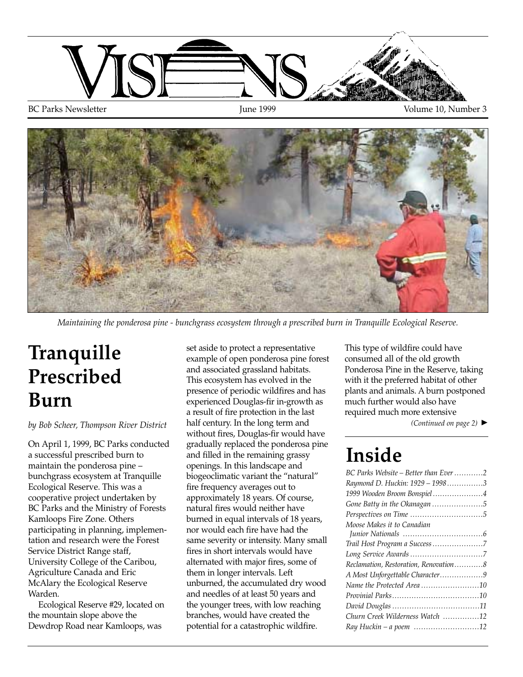

BC Parks Newsletter The Tune 1999 Tune 1999 Volume 10, Number 3



*Maintaining the ponderosa pine - bunchgrass ecosystem through a prescribed burn in Tranquille Ecological Reserve.* 

# **Tranquille Prescribed Burn**

#### *by Bob Scheer, Thompson River District*

On April 1, 1999, BC Parks conducted a successful prescribed burn to maintain the ponderosa pine – bunchgrass ecosystem at Tranquille Ecological Reserve. This was a cooperative project undertaken by BC Parks and the Ministry of Forests Kamloops Fire Zone. Others participating in planning, implementation and research were the Forest Service District Range staff, University College of the Caribou, Agriculture Canada and Eric McAlary the Ecological Reserve Warden.

Ecological Reserve #29, located on the mountain slope above the Dewdrop Road near Kamloops, was

set aside to protect a representative example of open ponderosa pine forest and associated grassland habitats. This ecosystem has evolved in the presence of periodic wildfires and has experienced Douglas-fir in-growth as a result of fire protection in the last half century. In the long term and without fires, Douglas-fir would have gradually replaced the ponderosa pine and filled in the remaining grassy openings. In this landscape and biogeoclimatic variant the "natural" fire frequency averages out to approximately 18 years. Of course, natural fires would neither have burned in equal intervals of 18 years, nor would each fire have had the same severity or intensity. Many small fires in short intervals would have alternated with major fires, some of them in longer intervals. Left unburned, the accumulated dry wood and needles of at least 50 years and the younger trees, with low reaching branches, would have created the potential for a catastrophic wildfire.

This type of wildfire could have consumed all of the old growth Ponderosa Pine in the Reserve, taking with it the preferred habitat of other plants and animals. A burn postponed much further would also have required much more extensive

*(Continued on page 2)* ▲

#### **Inside**

| BC Parks Website – Better than Ever2  |
|---------------------------------------|
| Raymond D. Huckin: 1929 - 19983       |
| 1999 Wooden Broom Bonspiel 4          |
| Gone Batty in the Okanagan 5          |
|                                       |
| Moose Makes it to Canadian            |
|                                       |
| Trail Host Program a Success 7        |
|                                       |
| Reclamation, Restoration, Renovation8 |
| A Most Unforgettable Character9       |
| Name the Protected Area10             |
|                                       |
|                                       |
| Churn Creek Wilderness Watch 12       |
| Ray Huckin - a poem 12                |
|                                       |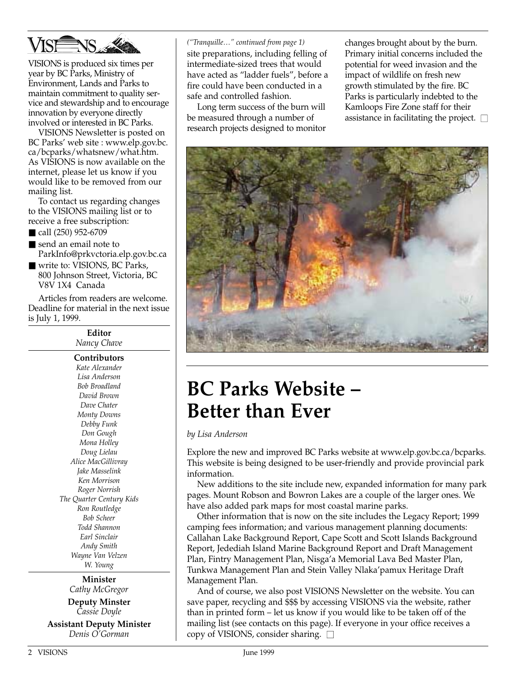

VISIONS is produced six times per year by BC Parks, Ministry of Environment, Lands and Parks to maintain commitment to quality service and stewardship and to encourage innovation by everyone directly involved or interested in BC Parks.

VISIONS Newsletter is posted on BC Parks' web site : www.elp.gov.bc. ca/bcparks/whatsnew/what.htm. As VISIONS is now available on the internet, please let us know if you would like to be removed from our mailing list.

To contact us regarding changes to the VISIONS mailing list or to receive a free subscription:

- call (250) 952-6709
- send an email note to ParkInfo@prkvctoria.elp.gov.bc.ca
- write to: VISIONS, BC Parks, 800 Johnson Street, Victoria, BC V8V 1X4 Canada

Articles from readers are welcome. Deadline for material in the next issue is July 1, 1999.

> **Editor** *Nancy Chave* **Contributors** *Kate Alexander Lisa Anderson Bob Broadland David Brown Dave Chater Monty Downs Debby Funk Don Gough Mona Holley Doug Lielau Alice MacGillivray Jake Masselink Ken Morrison Roger Norrish The Quarter Century Kids Ron Routledge Bob Scheer Todd Shannon Earl Sinclair Andy Smith Wayne Van Velzen W. Young*

> > **Minister** *Cathy McGregor*

**Deputy Minster** *Cassie Doyle*

**Assistant Deputy Minister** *Denis O'Gorman*

*("Tranquille…" continued from page 1)* site preparations, including felling of intermediate-sized trees that would have acted as "ladder fuels", before a fire could have been conducted in a safe and controlled fashion.

Long term success of the burn will be measured through a number of research projects designed to monitor changes brought about by the burn. Primary initial concerns included the potential for weed invasion and the impact of wildlife on fresh new growth stimulated by the fire. BC Parks is particularly indebted to the Kamloops Fire Zone staff for their assistance in facilitating the project.  $\square$ 



### **BC Parks Website – Better than Ever**

*by Lisa Anderson*

Explore the new and improved BC Parks website at www.elp.gov.bc.ca/bcparks. This website is being designed to be user-friendly and provide provincial park information.

New additions to the site include new, expanded information for many park pages. Mount Robson and Bowron Lakes are a couple of the larger ones. We have also added park maps for most coastal marine parks.

Other information that is now on the site includes the Legacy Report; 1999 camping fees information; and various management planning documents: Callahan Lake Background Report, Cape Scott and Scott Islands Background Report, Jedediah Island Marine Background Report and Draft Management Plan, Fintry Management Plan, Nisga'a Memorial Lava Bed Master Plan, Tunkwa Management Plan and Stein Valley Nlaka'pamux Heritage Draft Management Plan.

And of course, we also post VISIONS Newsletter on the website. You can save paper, recycling and \$\$\$ by accessing VISIONS via the website, rather than in printed form – let us know if you would like to be taken off of the mailing list (see contacts on this page). If everyone in your office receives a copy of VISIONS, consider sharing.  $\square$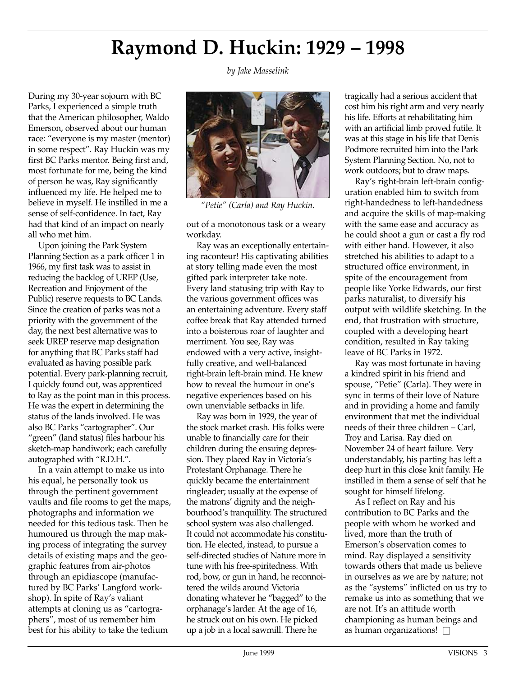# **Raymond D. Huckin: 1929 – 1998**

*by Jake Masselink*

During my 30-year sojourn with BC Parks, I experienced a simple truth that the American philosopher, Waldo Emerson, observed about our human race: "everyone is my master (mentor) in some respect". Ray Huckin was my first BC Parks mentor. Being first and, most fortunate for me, being the kind of person he was, Ray significantly influenced my life. He helped me to believe in myself. He instilled in me a sense of self-confidence. In fact, Ray had that kind of an impact on nearly all who met him.

Upon joining the Park System Planning Section as a park officer 1 in 1966, my first task was to assist in reducing the backlog of UREP (Use, Recreation and Enjoyment of the Public) reserve requests to BC Lands. Since the creation of parks was not a priority with the government of the day, the next best alternative was to seek UREP reserve map designation for anything that BC Parks staff had evaluated as having possible park potential. Every park-planning recruit, I quickly found out, was apprenticed to Ray as the point man in this process. He was the expert in determining the status of the lands involved. He was also BC Parks "cartographer". Our "green" (land status) files harbour his sketch-map handiwork; each carefully autographed with "R.D.H.".

In a vain attempt to make us into his equal, he personally took us through the pertinent government vaults and file rooms to get the maps, photographs and information we needed for this tedious task. Then he humoured us through the map making process of integrating the survey details of existing maps and the geographic features from air-photos through an epidiascope (manufactured by BC Parks' Langford workshop). In spite of Ray's valiant attempts at cloning us as "cartographers", most of us remember him best for his ability to take the tedium



*"Petie" (Carla) and Ray Huckin.*

out of a monotonous task or a weary workday.

Ray was an exceptionally entertaining raconteur! His captivating abilities at story telling made even the most gifted park interpreter take note. Every land statusing trip with Ray to the various government offices was an entertaining adventure. Every staff coffee break that Ray attended turned into a boisterous roar of laughter and merriment. You see, Ray was endowed with a very active, insightfully creative, and well-balanced right-brain left-brain mind. He knew how to reveal the humour in one's negative experiences based on his own unenviable setbacks in life.

Ray was born in 1929, the year of the stock market crash. His folks were unable to financially care for their children during the ensuing depression. They placed Ray in Victoria's Protestant Orphanage. There he quickly became the entertainment ringleader; usually at the expense of the matrons' dignity and the neighbourhood's tranquillity. The structured school system was also challenged. It could not accommodate his constitution. He elected, instead, to pursue a self-directed studies of Nature more in tune with his free-spiritedness. With rod, bow, or gun in hand, he reconnoitered the wilds around Victoria donating whatever he "bagged" to the orphanage's larder. At the age of 16, he struck out on his own. He picked up a job in a local sawmill. There he

tragically had a serious accident that cost him his right arm and very nearly his life. Efforts at rehabilitating him with an artificial limb proved futile. It was at this stage in his life that Denis Podmore recruited him into the Park System Planning Section. No, not to work outdoors; but to draw maps.

Ray's right-brain left-brain configuration enabled him to switch from right-handedness to left-handedness and acquire the skills of map-making with the same ease and accuracy as he could shoot a gun or cast a fly rod with either hand. However, it also stretched his abilities to adapt to a structured office environment, in spite of the encouragement from people like Yorke Edwards, our first parks naturalist, to diversify his output with wildlife sketching. In the end, that frustration with structure, coupled with a developing heart condition, resulted in Ray taking leave of BC Parks in 1972.

Ray was most fortunate in having a kindred spirit in his friend and spouse, "Petie" (Carla). They were in sync in terms of their love of Nature and in providing a home and family environment that met the individual needs of their three children – Carl, Troy and Larisa. Ray died on November 24 of heart failure. Very understandably, his parting has left a deep hurt in this close knit family. He instilled in them a sense of self that he sought for himself lifelong.

As I reflect on Ray and his contribution to BC Parks and the people with whom he worked and lived, more than the truth of Emerson's observation comes to mind. Ray displayed a sensitivity towards others that made us believe in ourselves as we are by nature; not as the "systems" inflicted on us try to remake us into as something that we are not. It's an attitude worth championing as human beings and as human organizations!  $\square$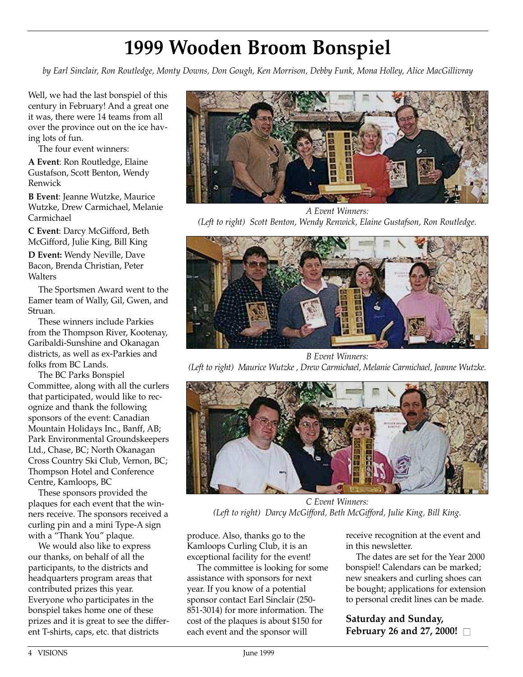# **1999 Wooden Broom Bonspiel**

*by Earl Sinclair, Ron Routledge, Monty Downs, Don Gough, Ken Morrison, Debby Funk, Mona Holley, Alice MacGillivray*

Well, we had the last bonspiel of this century in February! And a great one it was, there were 14 teams from all over the province out on the ice having lots of fun.

The four event winners:

**A Event**: Ron Routledge, Elaine Gustafson, Scott Benton, Wendy Renwick

**B Event**: Jeanne Wutzke, Maurice Wutzke, Drew Carmichael, Melanie Carmichael

**C Event**: Darcy McGifford, Beth McGifford, Julie King, Bill King

**D Event:** Wendy Neville, Dave Bacon, Brenda Christian, Peter **Walters** 

The Sportsmen Award went to the Eamer team of Wally, Gil, Gwen, and Struan.

These winners include Parkies from the Thompson River, Kootenay, Garibaldi-Sunshine and Okanagan districts, as well as ex-Parkies and folks from BC Lands.

The BC Parks Bonspiel Committee, along with all the curlers that participated, would like to recognize and thank the following sponsors of the event: Canadian Mountain Holidays Inc., Banff, AB; Park Environmental Groundskeepers Ltd., Chase, BC; North Okanagan Cross Country Ski Club, Vernon, BC; Thompson Hotel and Conference Centre, Kamloops, BC

These sponsors provided the plaques for each event that the winners receive. The sponsors received a curling pin and a mini Type-A sign with a "Thank You" plaque.

We would also like to express our thanks, on behalf of all the participants, to the districts and headquarters program areas that contributed prizes this year. Everyone who participates in the bonspiel takes home one of these prizes and it is great to see the different T-shirts, caps, etc. that districts



*A Event Winners: (Left to right) Scott Benton, Wendy Renwick, Elaine Gustafson, Ron Routledge.*



*B Event Winners: (Left to right) Maurice Wutzke , Drew Carmichael, Melanie Carmichael, Jeanne Wutzke.*



*C Event Winners: (Left to right) Darcy McGifford, Beth McGifford, Julie King, Bill King.*

produce. Also, thanks go to the Kamloops Curling Club, it is an exceptional facility for the event!

The committee is looking for some assistance with sponsors for next year. If you know of a potential sponsor contact Earl Sinclair (250- 851-3014) for more information. The cost of the plaques is about \$150 for each event and the sponsor will

receive recognition at the event and in this newsletter.

The dates are set for the Year 2000 bonspiel! Calendars can be marked; new sneakers and curling shoes can be bought; applications for extension to personal credit lines can be made.

**Saturday and Sunday, February 26 and 27, 2000!** □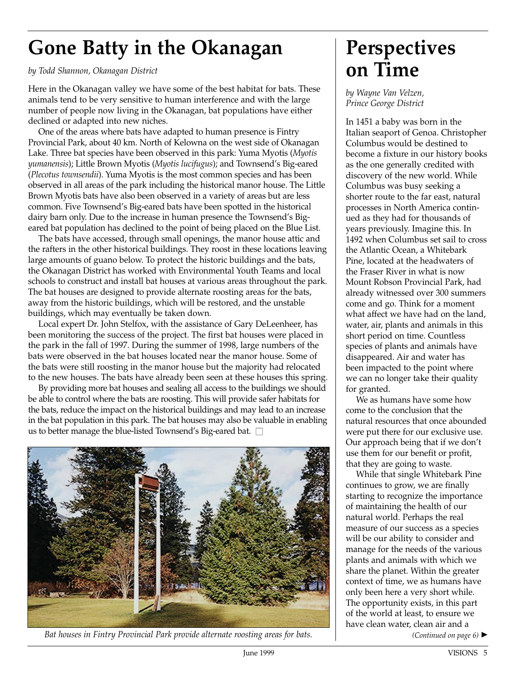# **Gone Batty in the Okanagan**

*by Todd Shannon, Okanagan District* 

Here in the Okanagan valley we have some of the best habitat for bats. These animals tend to be very sensitive to human interference and with the large number of people now living in the Okanagan, bat populations have either declined or adapted into new niches.

One of the areas where bats have adapted to human presence is Fintry Provincial Park, about 40 km. North of Kelowna on the west side of Okanagan Lake. Three bat species have been observed in this park: Yuma Myotis (*Myotis yumanensis*); Little Brown Myotis (*Myotis lucifugus*); and Townsend's Big-eared (*Plecotus townsendii*). Yuma Myotis is the most common species and has been observed in all areas of the park including the historical manor house. The Little Brown Myotis bats have also been observed in a variety of areas but are less common. Five Townsend's Big-eared bats have been spotted in the historical dairy barn only. Due to the increase in human presence the Townsend's Bigeared bat population has declined to the point of being placed on the Blue List.

The bats have accessed, through small openings, the manor house attic and the rafters in the other historical buildings. They roost in these locations leaving large amounts of guano below. To protect the historic buildings and the bats, the Okanagan District has worked with Environmental Youth Teams and local schools to construct and install bat houses at various areas throughout the park. The bat houses are designed to provide alternate roosting areas for the bats, away from the historic buildings, which will be restored, and the unstable buildings, which may eventually be taken down.

Local expert Dr. John Stelfox, with the assistance of Gary DeLeenheer, has been monitoring the success of the project. The first bat houses were placed in the park in the fall of 1997. During the summer of 1998, large numbers of the bats were observed in the bat houses located near the manor house. Some of the bats were still roosting in the manor house but the majority had relocated to the new houses. The bats have already been seen at these houses this spring.

By providing more bat houses and sealing all access to the buildings we should be able to control where the bats are roosting. This will provide safer habitats for the bats, reduce the impact on the historical buildings and may lead to an increase in the bat population in this park. The bat houses may also be valuable in enabling us to better manage the blue-listed Townsend's Big-eared bat.  $\square$ 



*Bat houses in Fintry Provincial Park provide alternate roosting areas for bats.*

#### **Perspectives on Time**

*by Wayne Van Velzen, Prince George District*

In 1451 a baby was born in the Italian seaport of Genoa. Christopher Columbus would be destined to become a fixture in our history books as the one generally credited with discovery of the new world. While Columbus was busy seeking a shorter route to the far east, natural processes in North America continued as they had for thousands of years previously. Imagine this. In 1492 when Columbus set sail to cross the Atlantic Ocean, a Whitebark Pine, located at the headwaters of the Fraser River in what is now Mount Robson Provincial Park, had already witnessed over 300 summers come and go. Think for a moment what affect we have had on the land, water, air, plants and animals in this short period on time. Countless species of plants and animals have disappeared. Air and water has been impacted to the point where we can no longer take their quality for granted.

We as humans have some how come to the conclusion that the natural resources that once abounded were put there for our exclusive use. Our approach being that if we don't use them for our benefit or profit, that they are going to waste.

While that single Whitebark Pine continues to grow, we are finally starting to recognize the importance of maintaining the health of our natural world. Perhaps the real measure of our success as a species will be our ability to consider and manage for the needs of the various plants and animals with which we share the planet. Within the greater context of time, we as humans have only been here a very short while. The opportunity exists, in this part of the world at least, to ensure we have clean water, clean air and a

*(Continued on page 6)* ▲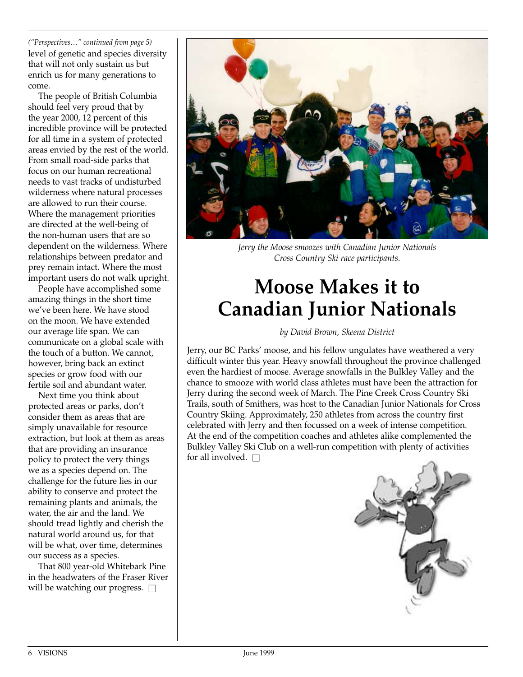*("Perspectives…" continued from page 5)* level of genetic and species diversity that will not only sustain us but enrich us for many generations to come.

The people of British Columbia should feel very proud that by the year 2000, 12 percent of this incredible province will be protected for all time in a system of protected areas envied by the rest of the world. From small road-side parks that focus on our human recreational needs to vast tracks of undisturbed wilderness where natural processes are allowed to run their course. Where the management priorities are directed at the well-being of the non-human users that are so dependent on the wilderness. Where relationships between predator and prey remain intact. Where the most important users do not walk upright.

People have accomplished some amazing things in the short time we've been here. We have stood on the moon. We have extended our average life span. We can communicate on a global scale with the touch of a button. We cannot, however, bring back an extinct species or grow food with our fertile soil and abundant water.

Next time you think about protected areas or parks, don't consider them as areas that are simply unavailable for resource extraction, but look at them as areas that are providing an insurance policy to protect the very things we as a species depend on. The challenge for the future lies in our ability to conserve and protect the remaining plants and animals, the water, the air and the land. We should tread lightly and cherish the natural world around us, for that will be what, over time, determines our success as a species.

That 800 year-old Whitebark Pine in the headwaters of the Fraser River will be watching our progress.  $\square$ 



*Jerry the Moose smoozes with Canadian Junior Nationals Cross Country Ski race participants.*

# **Moose Makes it to Canadian Junior Nationals**

#### *by David Brown, Skeena District*

Jerry, our BC Parks' moose, and his fellow ungulates have weathered a very difficult winter this year. Heavy snowfall throughout the province challenged even the hardiest of moose. Average snowfalls in the Bulkley Valley and the chance to smooze with world class athletes must have been the attraction for Jerry during the second week of March. The Pine Creek Cross Country Ski Trails, south of Smithers, was host to the Canadian Junior Nationals for Cross Country Skiing. Approximately, 250 athletes from across the country first celebrated with Jerry and then focussed on a week of intense competition. At the end of the competition coaches and athletes alike complemented the Bulkley Valley Ski Club on a well-run competition with plenty of activities for all involved.  $\square$ 

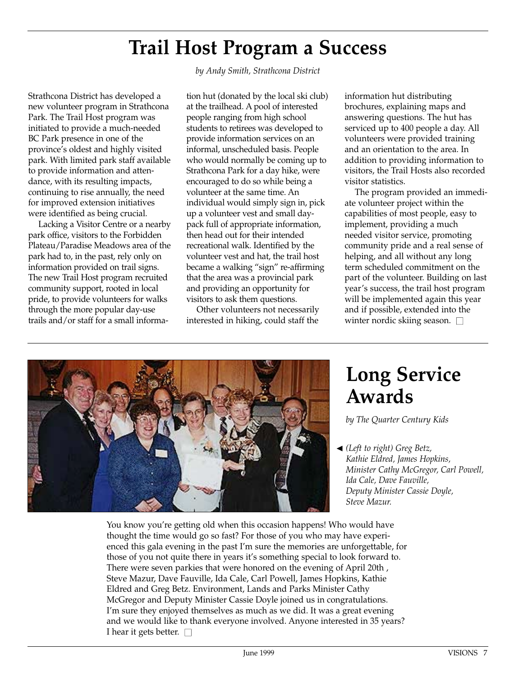#### **Trail Host Program a Success**

Strathcona District has developed a new volunteer program in Strathcona Park. The Trail Host program was initiated to provide a much-needed BC Park presence in one of the province's oldest and highly visited park. With limited park staff available to provide information and attendance, with its resulting impacts, continuing to rise annually, the need for improved extension initiatives were identified as being crucial.

Lacking a Visitor Centre or a nearby park office, visitors to the Forbidden Plateau/Paradise Meadows area of the park had to, in the past, rely only on information provided on trail signs. The new Trail Host program recruited community support, rooted in local pride, to provide volunteers for walks through the more popular day-use trails and/or staff for a small informa*by Andy Smith, Strathcona District*

tion hut (donated by the local ski club) at the trailhead. A pool of interested people ranging from high school students to retirees was developed to provide information services on an informal, unscheduled basis. People who would normally be coming up to Strathcona Park for a day hike, were encouraged to do so while being a volunteer at the same time. An individual would simply sign in, pick up a volunteer vest and small daypack full of appropriate information, then head out for their intended recreational walk. Identified by the volunteer vest and hat, the trail host became a walking "sign" re-affirming that the area was a provincial park and providing an opportunity for visitors to ask them questions.

Other volunteers not necessarily interested in hiking, could staff the

information hut distributing brochures, explaining maps and answering questions. The hut has serviced up to 400 people a day. All volunteers were provided training and an orientation to the area. In addition to providing information to visitors, the Trail Hosts also recorded visitor statistics.

The program provided an immediate volunteer project within the capabilities of most people, easy to implement, providing a much needed visitor service, promoting community pride and a real sense of helping, and all without any long term scheduled commitment on the part of the volunteer. Building on last year's success, the trail host program will be implemented again this year and if possible, extended into the winter nordic skiing season.  $\square$ 



#### **Long Service Awards**

*by The Quarter Century Kids*

*(Left to right) Greg Betz,*  ▲*Kathie Eldred, James Hopkins, Minister Cathy McGregor, Carl Powell, Ida Cale, Dave Fauville, Deputy Minister Cassie Doyle, Steve Mazur.*

You know you're getting old when this occasion happens! Who would have thought the time would go so fast? For those of you who may have experienced this gala evening in the past I'm sure the memories are unforgettable, for those of you not quite there in years it's something special to look forward to. There were seven parkies that were honored on the evening of April 20th , Steve Mazur, Dave Fauville, Ida Cale, Carl Powell, James Hopkins, Kathie Eldred and Greg Betz. Environment, Lands and Parks Minister Cathy McGregor and Deputy Minister Cassie Doyle joined us in congratulations. I'm sure they enjoyed themselves as much as we did. It was a great evening and we would like to thank everyone involved. Anyone interested in 35 years? I hear it gets better.  $\square$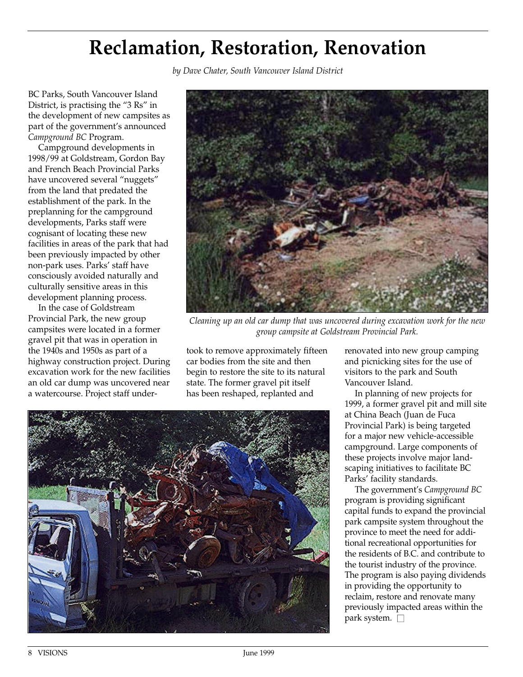#### **Reclamation, Restoration, Renovation**

*by Dave Chater, South Vancouver Island District*

BC Parks, South Vancouver Island District, is practising the "3 Rs" in the development of new campsites as part of the government's announced *Campground BC* Program.

Campground developments in 1998/99 at Goldstream, Gordon Bay and French Beach Provincial Parks have uncovered several "nuggets" from the land that predated the establishment of the park. In the preplanning for the campground developments, Parks staff were cognisant of locating these new facilities in areas of the park that had been previously impacted by other non-park uses. Parks' staff have consciously avoided naturally and culturally sensitive areas in this development planning process.

In the case of Goldstream Provincial Park, the new group campsites were located in a former gravel pit that was in operation in the 1940s and 1950s as part of a highway construction project. During excavation work for the new facilities an old car dump was uncovered near a watercourse. Project staff under-



*Cleaning up an old car dump that was uncovered during excavation work for the new group campsite at Goldstream Provincial Park.*

took to remove approximately fifteen car bodies from the site and then begin to restore the site to its natural state. The former gravel pit itself has been reshaped, replanted and



renovated into new group camping and picnicking sites for the use of visitors to the park and South Vancouver Island.

In planning of new projects for 1999, a former gravel pit and mill site at China Beach (Juan de Fuca Provincial Park) is being targeted for a major new vehicle-accessible campground. Large components of these projects involve major landscaping initiatives to facilitate BC Parks' facility standards.

The government's *Campground BC* program is providing significant capital funds to expand the provincial park campsite system throughout the province to meet the need for additional recreational opportunities for the residents of B.C. and contribute to the tourist industry of the province. The program is also paying dividends in providing the opportunity to reclaim, restore and renovate many previously impacted areas within the park system.  $\square$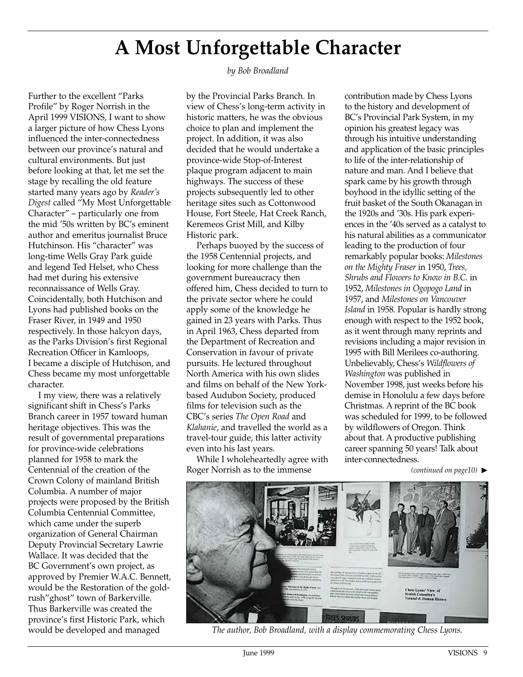## **A Most Unforgettable Character**

Further to the excellent "Parks Profile" by Roger Norrish in the April 1999 VISIONS, I want to show a larger picture of how Chess Lyons influenced the inter-connectedness between our province's natural and cultural environments. But just before looking at that, let me set the stage by recalling the old feature started many years ago by *Reader's Digest* called "My Most Unforgettable Character" – particularly one from the mid '50s written by BC's eminent author and emeritus journalist Bruce Hutchinson. His "character" was long-time Wells Gray Park guide and legend Ted Helset, who Chess had met during his extensive reconnaissance of Wells Gray. Coincidentally, both Hutchison and Lyons had published books on the Fraser River, in 1949 and 1950 respectively. In those halcyon days, as the Parks Division's first Regional Recreation Officer in Kamloops, I became a disciple of Hutchison, and Chess became my most unforgettable character.

I my view, there was a relatively significant shift in Chess's Parks Branch career in 1957 toward human heritage objectives. This was the result of governmental preparations for province-wide celebrations planned for 1958 to mark the Centennial of the creation of the Crown Colony of mainland British Columbia. A number of major projects were proposed by the British Columbia Centennial Committee, which came under the superb organization of General Chairman Deputy Provincial Secretary Lawrie Wallace. It was decided that the BC Government's own project, as approved by Premier W.A.C. Bennett, would be the Restoration of the goldrush"ghost" town of Barkerville. Thus Barkerville was created the province's first Historic Park, which would be developed and managed

*by Bob Broadland*

by the Provincial Parks Branch. In view of Chess's long-term activity in historic matters, he was the obvious choice to plan and implement the project. In addition, it was also decided that he would undertake a province-wide Stop-of-Interest plaque program adjacent to main highways. The success of these projects subsequently led to other heritage sites such as Cottonwood House, Fort Steele, Hat Creek Ranch, Keremeos Grist Mill, and Kilby Historic park.

Perhaps buoyed by the success of the 1958 Centennial projects, and looking for more challenge than the government bureaucracy then offered him, Chess decided to turn to the private sector where he could apply some of the knowledge he gained in 23 years with Parks. Thus in April 1963, Chess departed from the Department of Recreation and Conservation in favour of private pursuits. He lectured throughout North America with his own slides and films on behalf of the New Yorkbased Audubon Society, produced films for television such as the CBC's series *The Open Road* and *Klahanie*, and travelled the world as a travel-tour guide, this latter activity even into his last years.

While I wholeheartedly agree with Roger Norrish as to the immense

contribution made by Chess Lyons to the history and development of BC's Provincial Park System, in my opinion his greatest legacy was through his intuitive understanding and application of the basic principles to life of the inter-relationship of nature and man. And I believe that spark came by his growth through boyhood in the idyllic setting of the fruit basket of the South Okanagan in the 1920s and '30s. His park experiences in the '40s served as a catalyst to his natural abilities as a communicator leading to the production of four remarkably popular books: *Milestones on the Mighty Fraser* in 1950, *Trees, Shrubs and Flowers to Know in B.C.* in 1952, *Milestones in Ogopogo Land* in 1957, and *Milestones on Vancouver Island* in 1958. Popular is hardly strong enough with respect to the 1952 book, as it went through many reprints and revisions including a major revision in 1995 with Bill Merilees co-authoring. Unbelievably, Chess's *Wildflowers of Washington* was published in November 1998, just weeks before his demise in Honolulu a few days before Christmas. A reprint of the BC book was scheduled for 1999, to be followed by wildflowers of Oregon. Think about that. A productive publishing career spanning 50 years! Talk about inter-connectedness.

*(continued on page10)* ▲



*The author, Bob Broadland, with a display commemorating Chess Lyons.*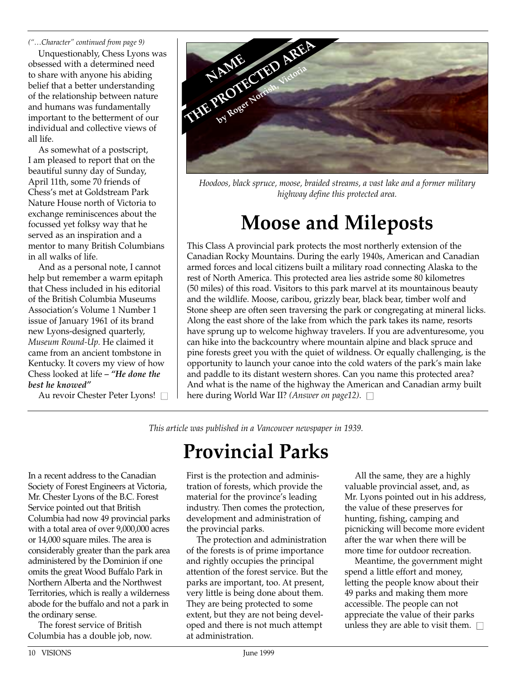*("…Character" continued from page 9)*

Unquestionably, Chess Lyons was obsessed with a determined need to share with anyone his abiding belief that a better understanding of the relationship between nature and humans was fundamentally important to the betterment of our individual and collective views of all life.

As somewhat of a postscript, I am pleased to report that on the beautiful sunny day of Sunday, April 11th, some 70 friends of Chess's met at Goldstream Park Nature House north of Victoria to exchange reminiscences about the focussed yet folksy way that he served as an inspiration and a mentor to many British Columbians in all walks of life.

And as a personal note, I cannot help but remember a warm epitaph that Chess included in his editorial of the British Columbia Museums Association's Volume 1 Number 1 issue of January 1961 of its brand new Lyons-designed quarterly, *Museum Round-Up.* He claimed it came from an ancient tombstone in Kentucky. It covers my view of how Chess looked at life *– "He done the best he knowed"*

Au revoir Chester Peter Lyons! □



*Hoodoos, black spruce, moose, braided streams, a vast lake and a former military highway define this protected area.*

# **Moose and Mileposts**

This Class A provincial park protects the most northerly extension of the Canadian Rocky Mountains. During the early 1940s, American and Canadian armed forces and local citizens built a military road connecting Alaska to the rest of North America. This protected area lies astride some 80 kilometres (50 miles) of this road. Visitors to this park marvel at its mountainous beauty and the wildlife. Moose, caribou, grizzly bear, black bear, timber wolf and Stone sheep are often seen traversing the park or congregating at mineral licks. Along the east shore of the lake from which the park takes its name, resorts have sprung up to welcome highway travelers. If you are adventuresome, you can hike into the backcountry where mountain alpine and black spruce and pine forests greet you with the quiet of wildness. Or equally challenging, is the opportunity to launch your canoe into the cold waters of the park's main lake and paddle to its distant western shores. Can you name this protected area? And what is the name of the highway the American and Canadian army built here during World War II? *(Answer on page12)*. □

*This article was published in a Vancouver newspaper in 1939.*

# **Provincial Parks**

In a recent address to the Canadian Society of Forest Engineers at Victoria, Mr. Chester Lyons of the B.C. Forest Service pointed out that British Columbia had now 49 provincial parks with a total area of over 9,000,000 acres or 14,000 square miles. The area is considerably greater than the park area administered by the Dominion if one omits the great Wood Buffalo Park in Northern Alberta and the Northwest Territories, which is really a wilderness abode for the buffalo and not a park in the ordinary sense.

The forest service of British Columbia has a double job, now. First is the protection and administration of forests, which provide the material for the province's leading industry. Then comes the protection, development and administration of the provincial parks.

The protection and administration of the forests is of prime importance and rightly occupies the principal attention of the forest service. But the parks are important, too. At present, very little is being done about them. They are being protected to some extent, but they are not being developed and there is not much attempt at administration.

All the same, they are a highly valuable provincial asset, and, as Mr. Lyons pointed out in his address, the value of these preserves for hunting, fishing, camping and picnicking will become more evident after the war when there will be more time for outdoor recreation.

Meantime, the government might spend a little effort and money, letting the people know about their 49 parks and making them more accessible. The people can not appreciate the value of their parks unless they are able to visit them.  $\square$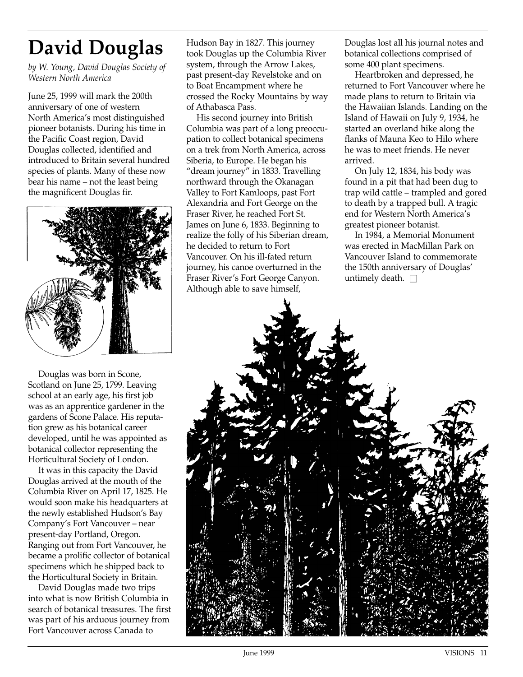# **David Douglas**

*by W. Young, David Douglas Society of Western North America*

June 25, 1999 will mark the 200th anniversary of one of western North America's most distinguished pioneer botanists. During his time in the Pacific Coast region, David Douglas collected, identified and introduced to Britain several hundred species of plants. Many of these now bear his name – not the least being the magnificent Douglas fir.



Douglas was born in Scone, Scotland on June 25, 1799. Leaving school at an early age, his first job was as an apprentice gardener in the gardens of Scone Palace. His reputation grew as his botanical career developed, until he was appointed as botanical collector representing the Horticultural Society of London.

It was in this capacity the David Douglas arrived at the mouth of the Columbia River on April 17, 1825. He would soon make his headquarters at the newly established Hudson's Bay Company's Fort Vancouver – near present-day Portland, Oregon. Ranging out from Fort Vancouver, he became a prolific collector of botanical specimens which he shipped back to the Horticultural Society in Britain.

David Douglas made two trips into what is now British Columbia in search of botanical treasures. The first was part of his arduous journey from Fort Vancouver across Canada to

Hudson Bay in 1827. This journey took Douglas up the Columbia River system, through the Arrow Lakes, past present-day Revelstoke and on to Boat Encampment where he crossed the Rocky Mountains by way of Athabasca Pass.

His second journey into British Columbia was part of a long preoccupation to collect botanical specimens on a trek from North America, across Siberia, to Europe. He began his "dream journey" in 1833. Travelling northward through the Okanagan Valley to Fort Kamloops, past Fort Alexandria and Fort George on the Fraser River, he reached Fort St. James on June 6, 1833. Beginning to realize the folly of his Siberian dream, he decided to return to Fort Vancouver. On his ill-fated return journey, his canoe overturned in the Fraser River's Fort George Canyon. Although able to save himself,

Douglas lost all his journal notes and botanical collections comprised of some 400 plant specimens.

Heartbroken and depressed, he returned to Fort Vancouver where he made plans to return to Britain via the Hawaiian Islands. Landing on the Island of Hawaii on July 9, 1934, he started an overland hike along the flanks of Mauna Keo to Hilo where he was to meet friends. He never arrived.

On July 12, 1834, his body was found in a pit that had been dug to trap wild cattle – trampled and gored to death by a trapped bull. A tragic end for Western North America's greatest pioneer botanist.

In 1984, a Memorial Monument was erected in MacMillan Park on Vancouver Island to commemorate the 150th anniversary of Douglas' untimely death.  $\square$